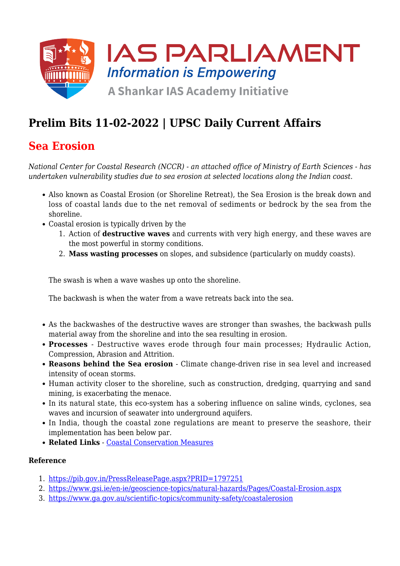

# **Prelim Bits 11-02-2022 | UPSC Daily Current Affairs**

## **Sea Erosion**

*National Center for Coastal Research (NCCR) - an attached office of Ministry of Earth Sciences - has undertaken vulnerability studies due to sea erosion at selected locations along the Indian coast.*

- Also known as Coastal Erosion (or Shoreline Retreat), the Sea Erosion is the break down and loss of coastal lands due to the net removal of sediments or bedrock by the sea from the shoreline.
- Coastal erosion is typically driven by the
	- 1. Action of **destructive waves** and currents with very high energy, and these waves are the most powerful in stormy conditions.
	- 2. **Mass wasting processes** on slopes, and subsidence (particularly on muddy coasts).

The swash is when a wave washes up onto the shoreline.

The backwash is when the water from a wave retreats back into the sea.

- As the backwashes of the destructive waves are stronger than swashes, the backwash pulls material away from the shoreline and into the sea resulting in erosion.
- **Processes** Destructive waves erode through four main processes; Hydraulic Action, Compression, Abrasion and Attrition.
- **Reasons behind the Sea erosion** Climate change-driven rise in sea level and increased intensity of ocean storms.
- Human activity closer to the shoreline, such as construction, dredging, quarrying and sand mining, is exacerbating the menace.
- In its natural state, this eco-system has a sobering influence on saline winds, cyclones, sea waves and incursion of seawater into underground aquifers.
- In India, though the coastal zone regulations are meant to preserve the seashore, their implementation has been below par.
- **Related Links** - [Coastal Conservation Measures](https://www.iasparliament.com/current-affairs/concerns-with-coastal-conservation-measures)

#### **Reference**

- 1. <https://pib.gov.in/PressReleasePage.aspx?PRID=1797251>
- 2. <https://www.gsi.ie/en-ie/geoscience-topics/natural-hazards/Pages/Coastal-Erosion.aspx>
- 3. <https://www.ga.gov.au/scientific-topics/community-safety/coastalerosion>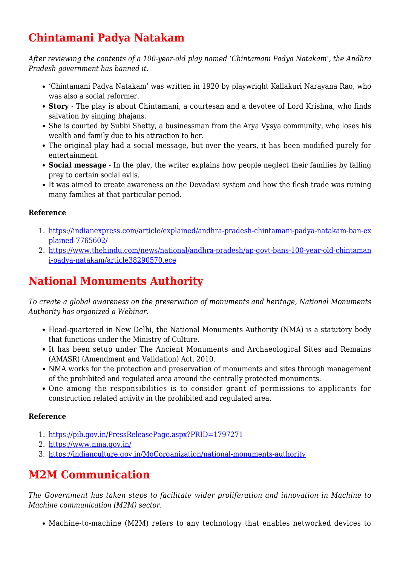# **Chintamani Padya Natakam**

*After reviewing the contents of a 100-year-old play named 'Chintamani Padya Natakam', the Andhra Pradesh government has banned it.*

- 'Chintamani Padya Natakam' was written in 1920 by playwright Kallakuri Narayana Rao, who was also a social reformer.
- **Story** The play is about Chintamani, a courtesan and a devotee of Lord Krishna, who finds salvation by singing bhajans.
- She is courted by Subbi Shetty, a businessman from the Arya Vysya community, who loses his wealth and family due to his attraction to her.
- The original play had a social message, but over the years, it has been modified purely for entertainment.
- **Social message** In the play, the writer explains how people neglect their families by falling prey to certain social evils.
- It was aimed to create awareness on the Devadasi system and how the flesh trade was ruining many families at that particular period.

### **Reference**

- 1. [https://indianexpress.com/article/explained/andhra-pradesh-chintamani-padya-natakam-ban-ex](https://indianexpress.com/article/explained/andhra-pradesh-chintamani-padya-natakam-ban-explained-7765602/) [plained-7765602/](https://indianexpress.com/article/explained/andhra-pradesh-chintamani-padya-natakam-ban-explained-7765602/)
- 2. [https://www.thehindu.com/news/national/andhra-pradesh/ap-govt-bans-100-year-old-chintaman](https://www.thehindu.com/news/national/andhra-pradesh/ap-govt-bans-100-year-old-chintamani-padya-natakam/article38290570.ece) [i-padya-natakam/article38290570.ece](https://www.thehindu.com/news/national/andhra-pradesh/ap-govt-bans-100-year-old-chintamani-padya-natakam/article38290570.ece)

## **National Monuments Authority**

*To create a global awareness on the preservation of monuments and heritage, National Monuments Authority has organized a Webinar.*

- Head-quartered in New Delhi, the National Monuments Authority (NMA) is a statutory body that functions under the Ministry of Culture.
- It has been setup under The Ancient Monuments and Archaeological Sites and Remains (AMASR) (Amendment and Validation) Act, 2010.
- NMA works for the protection and preservation of monuments and sites through management of the prohibited and regulated area around the centrally protected monuments.
- One among the responsibilities is to consider grant of permissions to applicants for construction related activity in the prohibited and regulated area.

### **Reference**

- 1. <https://pib.gov.in/PressReleasePage.aspx?PRID=1797271>
- 2. <https://www.nma.gov.in/>
- 3. <https://indianculture.gov.in/MoCorganization/national-monuments-authority>

## **M2M Communication**

*The Government has taken steps to facilitate wider proliferation and innovation in Machine to Machine communication (M2M) sector.*

Machine-to-machine (M2M) refers to any technology that enables networked devices to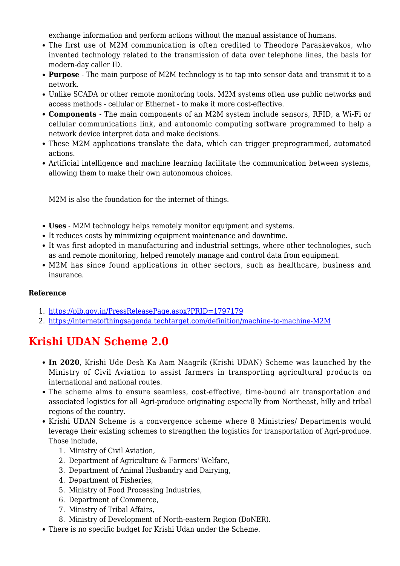exchange information and perform actions without the manual assistance of humans.

- The first use of M2M communication is often credited to Theodore Paraskevakos, who invented technology related to the transmission of data over telephone lines, the basis for modern-day caller ID.
- **Purpose** The main purpose of M2M technology is to tap into sensor data and transmit it to a network.
- Unlike SCADA or other remote monitoring tools, M2M systems often use public networks and access methods - cellular or Ethernet - to make it more cost-effective.
- **Components** The main components of an M2M system include sensors, RFID, a Wi-Fi or cellular communications link, and autonomic computing software programmed to help a network device interpret data and make decisions.
- These M2M applications translate the data, which can trigger preprogrammed, automated actions.
- Artificial intelligence and machine learning facilitate the communication between systems, allowing them to make their own autonomous choices.

M2M is also the foundation for the internet of things.

- **Uses** M2M technology helps remotely monitor equipment and systems.
- It reduces costs by minimizing equipment maintenance and downtime.
- It was first adopted in manufacturing and industrial settings, where other technologies, such as and remote monitoring, helped remotely manage and control data from equipment.
- M2M has since found applications in other sectors, such as healthcare, business and insurance.

#### **Reference**

- 1. <https://pib.gov.in/PressReleasePage.aspx?PRID=1797179>
- 2. <https://internetofthingsagenda.techtarget.com/definition/machine-to-machine-M2M>

## **Krishi UDAN Scheme 2.0**

- **In 2020**, Krishi Ude Desh Ka Aam Naagrik (Krishi UDAN) Scheme was launched by the Ministry of Civil Aviation to assist farmers in transporting agricultural products on international and national routes.
- The scheme aims to ensure seamless, cost-effective, time-bound air transportation and associated logistics for all Agri-produce originating especially from Northeast, hilly and tribal regions of the country.
- Krishi UDAN Scheme is a convergence scheme where 8 Ministries/ Departments would leverage their existing schemes to strengthen the logistics for transportation of Agri-produce. Those include,
	- 1. Ministry of Civil Aviation,
	- 2. Department of Agriculture & Farmers' Welfare,
	- 3. Department of Animal Husbandry and Dairying,
	- 4. Department of Fisheries,
	- 5. Ministry of Food Processing Industries,
	- 6. Department of Commerce,
	- 7. Ministry of Tribal Affairs,
	- 8. Ministry of Development of North-eastern Region (DoNER).
- There is no specific budget for Krishi Udan under the Scheme.